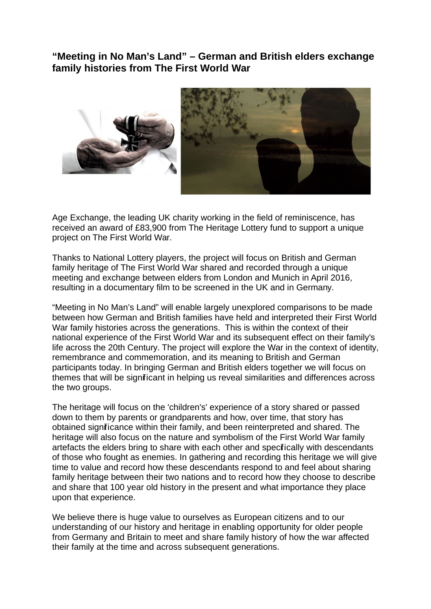**"Meeting in No Man's Land" – German and British elders exchange family histories from The First World War**



Age Exchange, the leading UK charity working in the field of reminiscence, has received an award of £83,900 from The Heritage Lottery fund to support a unique project on The First World War.

Thanks to National Lottery players, the project will focus on British and German family heritage of The First World War shared and recorded through a unique meeting and exchange between elders from London and Munich in April 2016, resulting in a documentary film to be screened in the UK and in Germany.

"Meeting in No Man's Land" will enable largely unexplored comparisons to be made between how German and British families have held and interpreted their First World War family histories across the generations. This is within the context of their national experience of the First World War and its subsequent effect on their family's life across the 20th Century. The project will explore the War in the context of identity, remembrance and commemoration, and its meaning to British and German participants today. In bringing German and British elders together we will focus on themes that will be significant in helping us reveal similarities and differences across the two groups.

The heritage will focus on the 'children's' experience of a story shared or passed down to them by parents or grandparents and how, over time, that story has obtained significance within their family, and been reinterpreted and shared. The heritage will also focus on the nature and symbolism of the First World War family artefacts the elders bring to share with each other and specifically with descendants of those who fought as enemies. In gathering and recording this heritage we will give time to value and record how these descendants respond to and feel about sharing family heritage between their two nations and to record how they choose to describe and share that 100 year old history in the present and what importance they place upon that experience.

We believe there is huge value to ourselves as European citizens and to our understanding of our history and heritage in enabling opportunity for older people from Germany and Britain to meet and share family history of how the war affected their family at the time and across subsequent generations.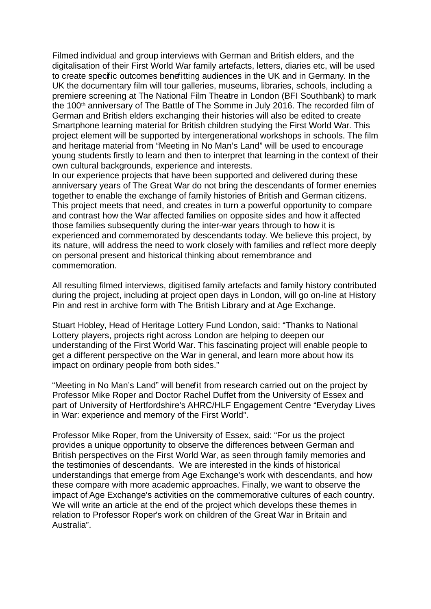Filmed individual and group interviews with German and British elders, and the digitalisation of their First World War family artefacts, letters, diaries etc, will be used to create specific outcomes benefitting audiences in the UK and in Germany. In the UK the documentary film will tour galleries, museums, libraries, schools, including a premiere screening at The National Film Theatre in London (BFI Southbank) to mark the 100<sup>th</sup> anniversary of The Battle of The Somme in July 2016. The recorded film of German and British elders exchanging their histories will also be edited to create Smartphone learning material for British children studying the First World War. This project element will be supported by intergenerational workshops in schools. The film and heritage material from "Meeting in No Man's Land" will be used to encourage young students firstly to learn and then to interpret that learning in the context of their own cultural backgrounds, experience and interests.

In our experience projects that have been supported and delivered during these anniversary years of The Great War do not bring the descendants of former enemies together to enable the exchange of family histories of British and German citizens. This project meets that need, and creates in turn a powerful opportunity to compare and contrast how the War affected families on opposite sides and how it affected those families subsequently during the inter-war years through to how it is experienced and commemorated by descendants today. We believe this project, by its nature, will address the need to work closely with families and reflect more deeply on personal present and historical thinking about remembrance and commemoration.

All resulting filmed interviews, digitised family artefacts and family history contributed during the project, including at project open days in London, will go on-line at History Pin and rest in archive form with The British Library and at Age Exchange.

Stuart Hobley, Head of Heritage Lottery Fund London, said: "Thanks to National Lottery players, projects right across London are helping to deepen our understanding of the First World War. This fascinating project will enable people to get a different perspective on the War in general, and learn more about how its impact on ordinary people from both sides."

"Meeting in No Man's Land" will benefit from research carried out on the project by Professor Mike Roper and Doctor Rachel Duffet from the University of Essex and part of University of Hertfordshire's AHRC/HLF Engagement Centre "Everyday Lives in War: experience and memory of the First World".

Professor Mike Roper, from the University of Essex, said: "For us the project provides a unique opportunity to observe the differences between German and British perspectives on the First World War, as seen through family memories and the testimonies of descendants. We are interested in the kinds of historical understandings that emerge from Age Exchange's work with descendants, and how these compare with more academic approaches. Finally, we want to observe the impact of Age Exchange's activities on the commemorative cultures of each country. We will write an article at the end of the project which develops these themes in relation to Professor Roper's work on children of the Great War in Britain and Australia".